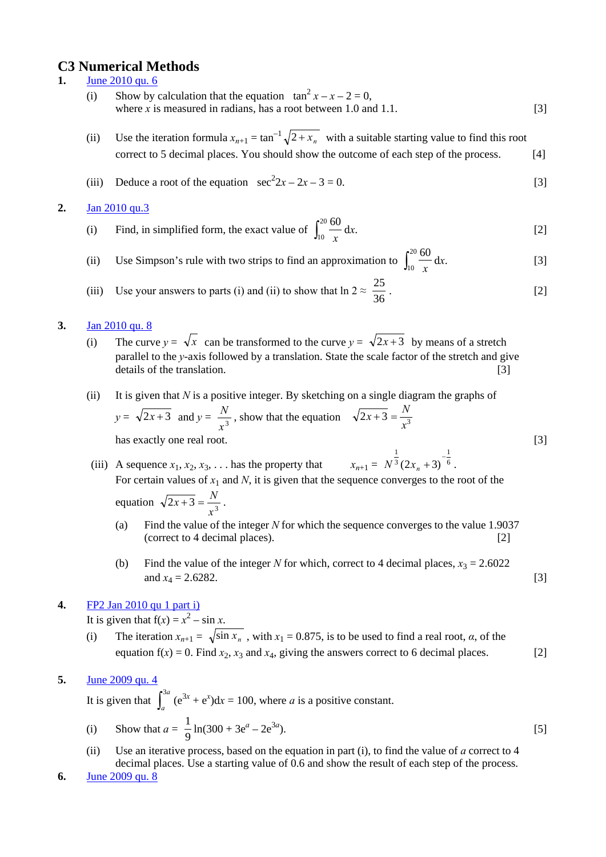# **C3 Numerical Methods**

- **1.** June 2010 qu. 6
- (i) Show by calculation that the equation  $\tan^2 x x 2 = 0$ , where  $\dot{x}$  is measured in radians, has a root between 1.0 and 1.1.  $\qquad \qquad \qquad \qquad \text{[3]}$ 
	- (ii) Use the iteration formula  $x_{n+1} = \tan^{-1} \sqrt{2 + x_n}$  with a suitable starting value to find this root correct to 5 decimal places. You should show the outcome of each step of the process. [4]
	- (iii) Deduce a root of the equation  $\sec^2 2x 2x 3 = 0$ . [3]

### **2.** Jan 2010 qu.3

- (i) Find, in simplified form, the exact value of  $\int_{10}^{20} \frac{60}{x} dx$ . [2] 10 60 *x*
	- (ii) Use Simpson's rule with two strips to find an approximation to  $\int_{10}^{20} \frac{60}{x} dx$ . [3] 10 60 *x*

(iii) Use your answers to parts (i) and (ii) to show that 
$$
\ln 2 \approx \frac{25}{36}
$$
. [2]

- **3.** Jan 2010 qu. 8
- (i) The curve  $y = \sqrt{x}$  can be transformed to the curve  $y = \sqrt{2x+3}$  by means of a stretch parallel to the *y*-axis followed by a translation. State the scale factor of the stretch and give details of the translation. [3]
	- (ii) It is given that *N* is a positive integer. By sketching on a single diagram the graphs of  $y = \sqrt{2x+3}$  and  $y = \frac{1}{x}$ , show that the equation has exactly one real root. [3] 3 *x*  $\frac{N}{x^3}$ , show that the equation  $\sqrt{2x+3} = \frac{N}{x^3}$  $\overline{x+3} = \frac{N}{4}$
	- (iii) A sequence  $x_1, x_2, x_3, \ldots$  has the property that For certain values of  $x_1$  and *N*, it is given that the sequence converges to the root of the equation  $\sqrt{2x+3} = \frac{1}{x^3}$ . 6 3  $N^{\frac{1}{3}}(2x_n+3)$  $\overline{x+3} = \frac{N}{3}$ 
		- (a) Find the value of the integer *N* for which the sequence converges to the value 1.9037 (correct to 4 decimal places). [2]

1

1

(b) Find the value of the integer *N* for which, correct to 4 decimal places,  $x_3 = 2.6022$ and  $x_4 = 2.6282$ . [3]

## **4.** FP2 Jan 2010 qu 1 part i)

It is given that  $f(x) = x^2 - \sin x$ .

- (i) The iteration  $x_{n+1} = \sqrt{\sin x_n}$ , with  $x_1 = 0.875$ , is to be used to find a real root, *α*, of the equation  $f(x) = 0$ . Find  $x_2$ ,  $x_3$  and  $x_4$ , giving the answers correct to 6 decimal places. [2]
- **5.** June 2009 qu. 4

It is given that  $\int_{a}^{3a} (e^{3x} + e^{x}) dx = 100$ , where *a* is a positive constant. *a* 3

(i) Show that 
$$
a = \frac{1}{9} \ln(300 + 3e^a - 2e^{3a}).
$$
 [5]

- (ii) Use an iterative process, based on the equation in part (i), to find the value of *a* correct to 4 decimal places. Use a starting value of 0.6 and show the result of each step of the process.
- **6.** June 2009 qu. 8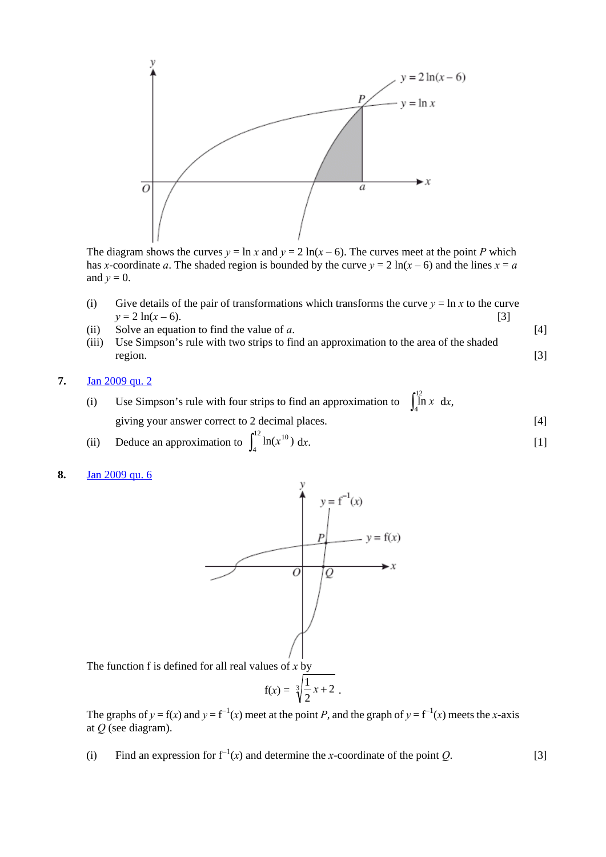

The diagram shows the curves  $y = \ln x$  and  $y = 2 \ln(x - 6)$ . The curves meet at the point *P* which has *x*-coordinate *a*. The shaded region is bounded by the curve  $y = 2 \ln(x - 6)$  and the lines  $x = a$ and  $y = 0$ .

- (i) Give details of the pair of transformations which transforms the curve  $y = \ln x$  to the curve  $y = 2 \ln(x - 6).$  [3]
- (ii) Solve an equation to find the value of *a*. [4]
- (iii) Use Simpson's rule with two strips to find an approximation to the area of the shaded region. [3]
- **7.** Jan 2009 qu. 2
- (i) Use Simpson's rule with four strips to find an approximation to  $\int_{4}^{12} \ln x \, dx$ , giving your answer correct to 2 decimal places. [4]  $\int_4 \ln x$ 
	- (ii) Deduce an approximation to  $\int_4^{12} \ln(x^{10}) dx$ . [1]  $\int_{4}^{12} \ln(x^{10})$
- **8.** Jan 2009 qu. 6



The graphs of  $y = f(x)$  and  $y = f^{-1}(x)$  meet at the point *P*, and the graph of  $y = f^{-1}(x)$  meets the *x*-axis at *Q* (see diagram).

(i) Find an expression for  $f^{-1}(x)$  and determine the *x*-coordinate of the point *Q*. [3]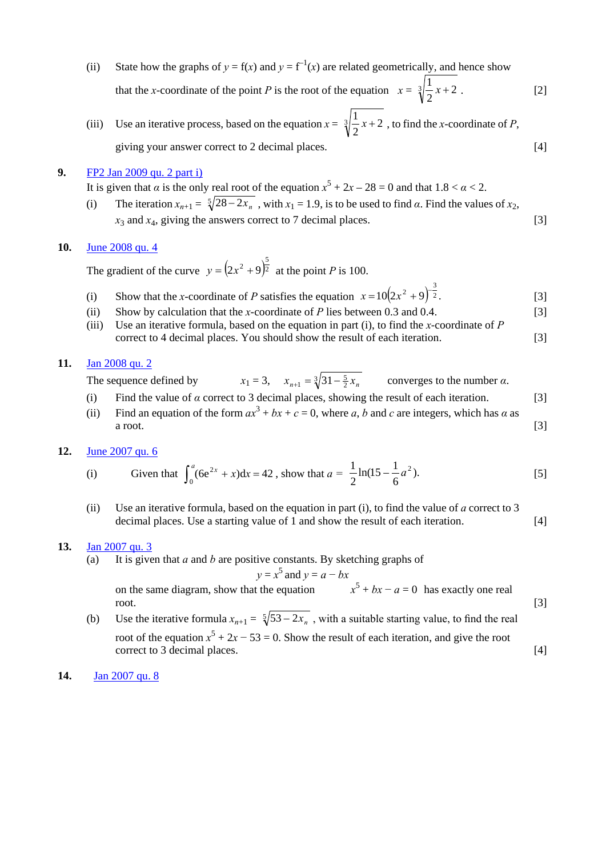- (ii) State how the graphs of  $y = f(x)$  and  $y = f^{-1}(x)$  are related geometrically, and hence show that the *x*-coordinate of the point *P* is the root of the equation  $x = \sqrt[3]{\frac{1}{2}x + 2}$ . [2] 2  $\frac{1}{2}x +$
- (iii) Use an iterative process, based on the equation  $x = \sqrt[3]{\frac{1}{2}x + 2}$ , to find the *x*-coordinate of *P*, giving your answer correct to 2 decimal places. [4] 2  $\frac{1}{2}x +$

### **9.** FP2 Jan 2009 qu. 2 part i)

It is given that *α* is the only real root of the equation  $x^5 + 2x - 28 = 0$  and that  $1.8 < \alpha < 2$ .

(i) The iteration  $x_{n+1} = \sqrt[5]{28 - 2x_n}$ , with  $x_1 = 1.9$ , is to be used to find *α*. Find the values of  $x_2$ ,  $x_3$  and  $x_4$ , giving the answers correct to 7 decimal places. [3]

#### **10.** June 2008 qu. 4

The gradient of the curve  $y = (2x^2 + 9)^{\frac{1}{2}}$  at the point *P* is 100.  $y = (2x^2 + 9)^{\frac{5}{2}}$ 

- (i) Show that the *x*-coordinate of *P* satisfies the equation  $x = 10(2x^2 + 9)^{-\frac{3}{2}}$ . [3]
- (ii) Show by calculation that the *x*-coordinate of *P* lies between 0.3 and 0.4.  $[3]$ 
	- (iii) Use an iterative formula, based on the equation in part (i), to find the *x*-coordinate of *P* correct to 4 decimal places. You should show the result of each iteration. [3]

### **11.** Jan 2008 qu. 2

- The sequence defined by  $x_1 = 3$ ,  $x_{n+1} = \sqrt[3]{31 \frac{5}{2}x_n}$  converges to the number  $\alpha$ .
- (i) Find the value of *α* correct to 3 decimal places, showing the result of each iteration. [3]
- (ii) Find an equation of the form  $ax^3 + bx + c = 0$ , where *a*, *b* and *c* are integers, which has *a* as a root.  $[3]$

#### **12.** June 2007 qu. 6

(i) Given that 
$$
\int_0^a (6e^{2x} + x) dx = 42
$$
, show that  $a = \frac{1}{2} \ln(15 - \frac{1}{6}a^2)$ . [5]

(ii) Use an iterative formula, based on the equation in part (i), to find the value of *a* correct to 3 decimal places. Use a starting value of 1 and show the result of each iteration. [4]

#### **13.** Jan 2007 qu. 3

(a) It is given that *a* and *b* are positive constants. By sketching graphs of

$$
y = x^5 \text{ and } y = a - bx
$$

on the same diagram, show that the equation *x*  $x^5 + bx - a = 0$  has exactly one real root. [3]

- (b) Use the iterative formula  $x_{n+1} = \sqrt[5]{53 2x_n}$ , with a suitable starting value, to find the real root of the equation  $x^5 + 2x - 53 = 0$ . Show the result of each iteration, and give the root correct to 3 decimal places. [4]
- **14.** Jan 2007 qu. 8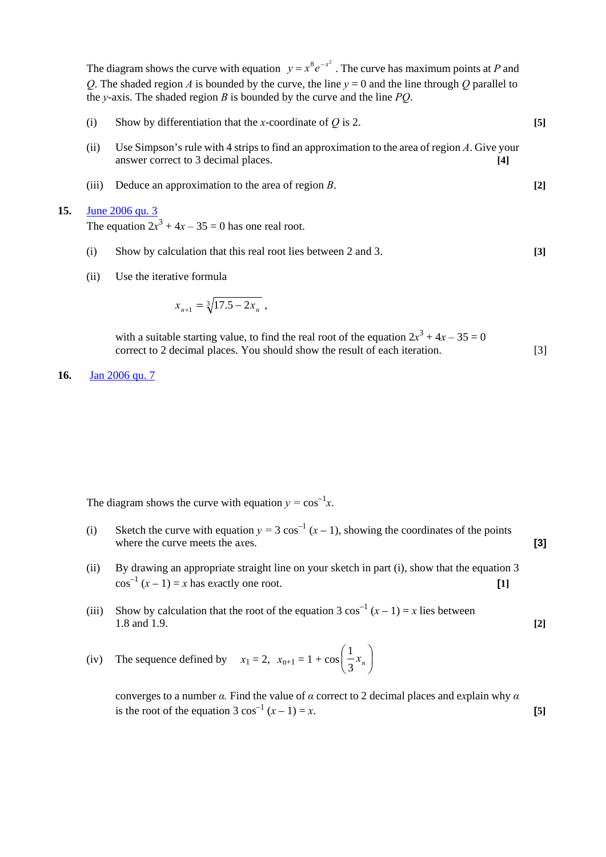The diagram shows the curve with equation  $y = x^8 e^{-x^2}$ . The curve has maximum points at *P* and *Q*. The shaded region *A* is bounded by the curve, the line  $y = 0$  and the line through *Q* parallel to the *y*-axis. The shaded region *B* is bounded by the curve and the line *PQ*.

| (i)  | Show by differentiation that the x-coordinate of $Q$ is 2.                                                                                          | $[5]$ |
|------|-----------------------------------------------------------------------------------------------------------------------------------------------------|-------|
| (ii) | Use Simpson's rule with 4 strips to find an approximation to the area of region $\Lambda$ . Give your<br>answer correct to 3 decimal places.<br>[4] |       |

(iii) Deduce an approximation to the area of region *B*. **[2]**

#### **15.** June 2006 qu. 3

The equation  $2x^3 + 4x - 35 = 0$  has one real root.

- (i) Show by calculation that this real root lies between 2 and 3. **[3]**
- (ii) Use the iterative formula

$$
x_{n+1} = \sqrt[3]{17.5 - 2x_n} \; ,
$$

with a suitable starting value, to find the real root of the equation  $2x^3 + 4x - 35 = 0$ correct to 2 decimal places. You should show the result of each iteration. [3]

**16.** Jan 2006 qu. 7

The diagram shows the curve with equation  $y = cos^{-1}x$ .

- (i) Sketch the curve with equation  $y = 3 \cos^{-1} (x 1)$ , showing the coordinates of the points where the curve meets the axes. **[3]**
- (ii) By drawing an appropriate straight line on your sketch in part (i), show that the equation 3  $\cos^{-1}(x-1) = x$  has exactly one root. **[1]**
- (iii) Show by calculation that the root of the equation  $3 \cos^{-1}(x-1) = x$  lies between 1.8 and 1.9. **[2]**
- (iv) The sequence defined by  $x_1 = 2$ ,  $x_{n+1} = 1 + \cos \left| \frac{1}{2} x_n \right|$  $\big)$  $\left(\frac{1}{2}x_n\right)$  $\setminus$ ſ  $\frac{1}{3}x_n$ 1

 converges to a number *α.* Find the value of *α* correct to 2 decimal places and e*x*plain why *α*  is the root of the equation  $3 \cos^{-1}(x - 1) = x$ . **[5]**